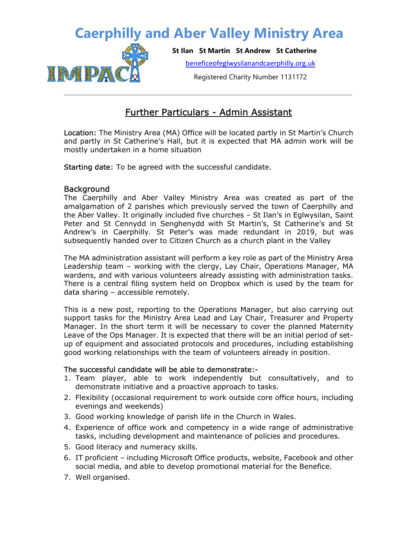## Caerphilly and Aber Valley Ministry Area



St Ilan St Martin St Andrew St Catherine

beneficeofeglwysilanandcaerphilly.org.uk

Registered Charity Number 1131172

### Further Particulars - Admin Assistant

Location: The Ministry Area (MA) Office will be located partly in St Martin's Church and partly in St Catherine's Hall, but it is expected that MA admin work will be mostly undertaken in a home situation

Starting date: To be agreed with the successful candidate.

#### **Background**

The Caerphilly and Aber Valley Ministry Area was created as part of the amalgamation of 2 parishes which previously served the town of Caerphilly and the Aber Valley. It originally included five churches – St Ilan's in Eglwysilan, Saint Peter and St Cennydd in Senghenydd with St Martin's, St Catherine's and St Andrew's in Caerphilly. St Peter's was made redundant in 2019, but was subsequently handed over to Citizen Church as a church plant in the Valley

The MA administration assistant will perform a key role as part of the Ministry Area Leadership team – working with the clergy, Lay Chair, Operations Manager, MA wardens, and with various volunteers already assisting with administration tasks. There is a central filing system held on Dropbox which is used by the team for data sharing – accessible remotely.

This is a new post, reporting to the Operations Manager, but also carrying out support tasks for the Ministry Area Lead and Lay Chair, Treasurer and Property Manager. In the short term it will be necessary to cover the planned Maternity Leave of the Ops Manager. It is expected that there will be an initial period of setup of equipment and associated protocols and procedures, including establishing good working relationships with the team of volunteers already in position.

#### The successful candidate will be able to demonstrate:-

- 1. Team player, able to work independently but consultatively, and to demonstrate initiative and a proactive approach to tasks.
- 2. Flexibility (occasional requirement to work outside core office hours, including evenings and weekends)
- 3. Good working knowledge of parish life in the Church in Wales.
- 4. Experience of office work and competency in a wide range of administrative tasks, including development and maintenance of policies and procedures.
- 5. Good literacy and numeracy skills.
- 6. IT proficient including Microsoft Office products, website, Facebook and other social media, and able to develop promotional material for the Benefice.
- 7. Well organised.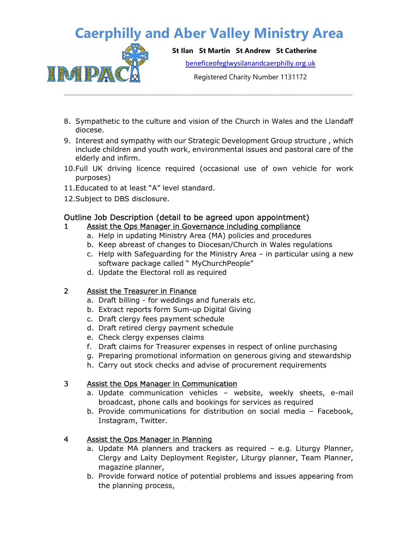# Caerphilly and Aber Valley Ministry Area



St Ilan St Martin St Andrew St Catherine

beneficeofeglwysilanandcaerphilly.org.uk

Registered Charity Number 1131172

- 8. Sympathetic to the culture and vision of the Church in Wales and the Llandaff diocese.
- 9. Interest and sympathy with our Strategic Development Group structure , which include children and youth work, environmental issues and pastoral care of the elderly and infirm.
- 10.Full UK driving licence required (occasional use of own vehicle for work purposes)
- 11.Educated to at least "A" level standard.
- 12.Subject to DBS disclosure.

### Outline Job Description (detail to be agreed upon appointment)

### 1 Assist the Ops Manager in Governance including compliance

- a. Help in updating Ministry Area (MA) policies and procedures
- b. Keep abreast of changes to Diocesan/Church in Wales regulations
- c. Help with Safeguarding for the Ministry Area in particular using a new software package called " MyChurchPeople"
- d. Update the Electoral roll as required

#### 2 Assist the Treasurer in Finance

- a. Draft billing for weddings and funerals etc.
- b. Extract reports form Sum-up Digital Giving
- c. Draft clergy fees payment schedule
- d. Draft retired clergy payment schedule
- e. Check clergy expenses claims
- f. Draft claims for Treasurer expenses in respect of online purchasing
- g. Preparing promotional information on generous giving and stewardship
- h. Carry out stock checks and advise of procurement requirements

#### 3 Assist the Ops Manager in Communication

- a. Update communication vehicles website, weekly sheets, e-mail broadcast, phone calls and bookings for services as required
- b. Provide communications for distribution on social media Facebook, Instagram, Twitter.

#### 4 Assist the Ops Manager in Planning

- a. Update MA planners and trackers as required e.g. Liturgy Planner, Clergy and Laity Deployment Register, Liturgy planner, Team Planner, magazine planner,
- b. Provide forward notice of potential problems and issues appearing from the planning process,